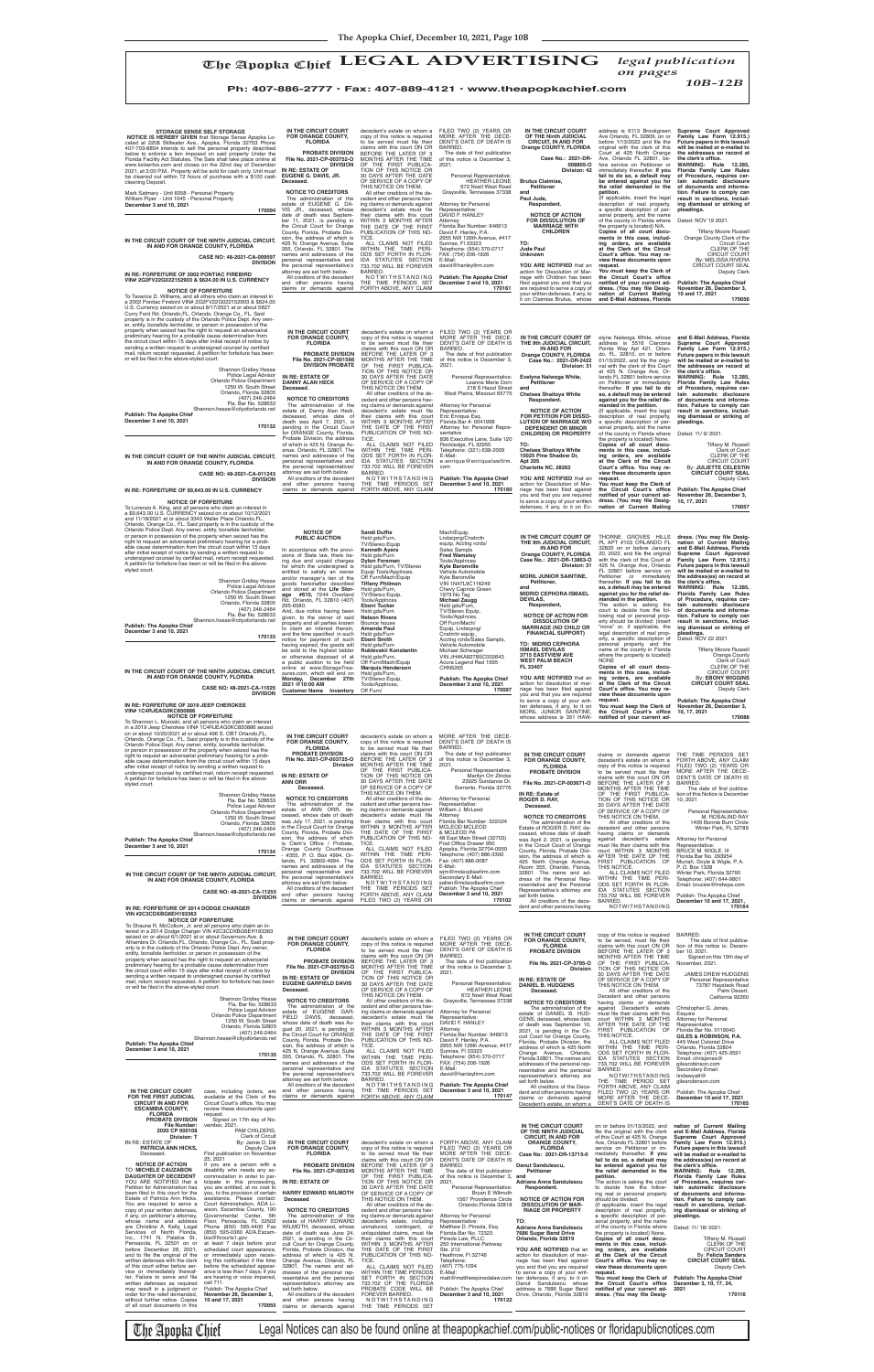elyne Nalwoga White, whose<br>address is 5516 Clarcona<br>Pointe Way Apt 421, Orlan-<br>do, FL, 32810, on or before<br>01/13/2022, and file the origi-<br>nal with the Clerk of this Court<br>at 425 N. Orange Ave, Orlando FL 32801 before service on Petitioner or immediately thereafter. **If you fail to do so, a default may be entered against you for the relief de-manded in the petition.** {If applicable, insert the legal description of real property, **and E-Mail Address, Florida Supreme Court Approved Family Law Form 12.915.) Future papers in this lawsuit will be mailed or e-mailed to**  the addresses on record at<br>the clerk's office.<br>WARNING: Rule 12.285, **Florida Family Law Rules of Procedure, requires cer-tain automatic disclosure of documents and informa-tion. Failure to comply can result in sanctions, includ-ing dismissal or striking of pleadings.**

of all court documents in this

The Apopka Chief Legal Notices can also be found online at theapopkachief.com/public-notices or floridapublicnotices.com

| IN THE CIRCUIT COURT                                                                                                                                                                                                                                                                                                                                                                                                   | case, including orders, are                                                                                                                                                                                                                                                                                                                                                                                 |
|------------------------------------------------------------------------------------------------------------------------------------------------------------------------------------------------------------------------------------------------------------------------------------------------------------------------------------------------------------------------------------------------------------------------|-------------------------------------------------------------------------------------------------------------------------------------------------------------------------------------------------------------------------------------------------------------------------------------------------------------------------------------------------------------------------------------------------------------|
| FOR THE FIRST JUDICIAL                                                                                                                                                                                                                                                                                                                                                                                                 | available at the Clerk of the                                                                                                                                                                                                                                                                                                                                                                               |
| <b>CIRCUIT IN AND FOR</b>                                                                                                                                                                                                                                                                                                                                                                                              | Circuit Court's office. You may                                                                                                                                                                                                                                                                                                                                                                             |
| <b>ESCAMBIA COUNTY,</b>                                                                                                                                                                                                                                                                                                                                                                                                | review these documents upon                                                                                                                                                                                                                                                                                                                                                                                 |
| <b>FLORIDA</b>                                                                                                                                                                                                                                                                                                                                                                                                         | reauest.                                                                                                                                                                                                                                                                                                                                                                                                    |
| <b>PROBATE DIVISION</b>                                                                                                                                                                                                                                                                                                                                                                                                | Signed on 17th day of No-                                                                                                                                                                                                                                                                                                                                                                                   |
| <b>File Number:</b>                                                                                                                                                                                                                                                                                                                                                                                                    | vember, 2021.                                                                                                                                                                                                                                                                                                                                                                                               |
| 2020 CP 000108                                                                                                                                                                                                                                                                                                                                                                                                         | PAM CHILDERS,                                                                                                                                                                                                                                                                                                                                                                                               |
| Division: T                                                                                                                                                                                                                                                                                                                                                                                                            | <b>Clerk of Circuit</b>                                                                                                                                                                                                                                                                                                                                                                                     |
| IN RE: ESTATE OF                                                                                                                                                                                                                                                                                                                                                                                                       | By: Jamie D. Dill                                                                                                                                                                                                                                                                                                                                                                                           |
| PATRICIA ANN HICKS,                                                                                                                                                                                                                                                                                                                                                                                                    | <b>Deputy Clerk</b>                                                                                                                                                                                                                                                                                                                                                                                         |
| Deceased.                                                                                                                                                                                                                                                                                                                                                                                                              | First publication on November                                                                                                                                                                                                                                                                                                                                                                               |
| <b>NOTICE OF ACTION</b><br><b>TO: MICHELE CAUZABON</b><br><b>DAUGHTER OF DECEDENT</b>                                                                                                                                                                                                                                                                                                                                  | 25, 2021<br>If you are a person with a<br>disability who needs any ac-<br>commodation in order to par-                                                                                                                                                                                                                                                                                                      |
| YOU ARE NOTIFIED that a<br>Petition for Administration has<br>been filed in this court for the<br>Estate of Patricia Ann Hicks.<br>You are required to serve a<br>copy of your written defenses,<br>if any, on petitioner's attorney,<br>whose name and address<br>are Christine A. Kelly, Legal<br>Services of North Florida.<br>Inc., 1741 N. Palafox St.,<br>Pensacola, FL 32501 on or<br>before December 26, 2021, | ticipate in this proceeding,<br>you are entitled, at no cost to<br>you, to the provision of certain<br>assistance. Please contact:<br>Court Administration, ADA Li-<br>aison, Escambia County, 190<br>Governmental Center,<br>5th<br>Floor, Pensacola, FL 32502<br>Phone (850) 595-4400 Fax<br>(850) 595-0360 ADA.Escam-<br>bia@flcourts1.gov<br>at least 7 days before your<br>scheduled court appearance, |
| and to file the original of the                                                                                                                                                                                                                                                                                                                                                                                        | or immediately upon receiv-                                                                                                                                                                                                                                                                                                                                                                                 |
| written defenses with the clerk                                                                                                                                                                                                                                                                                                                                                                                        | ing this notification if the time                                                                                                                                                                                                                                                                                                                                                                           |
| of this court either before ser-                                                                                                                                                                                                                                                                                                                                                                                       | before the scheduled appear-                                                                                                                                                                                                                                                                                                                                                                                |
| vice or immediately thereaf-                                                                                                                                                                                                                                                                                                                                                                                           | ance is less than 7 days; if you                                                                                                                                                                                                                                                                                                                                                                            |
| ter. Failure to serve and file                                                                                                                                                                                                                                                                                                                                                                                         | are hearing or voice impaired,                                                                                                                                                                                                                                                                                                                                                                              |
| written defenses as required                                                                                                                                                                                                                                                                                                                                                                                           | call 711.                                                                                                                                                                                                                                                                                                                                                                                                   |
| may result in a judgment or                                                                                                                                                                                                                                                                                                                                                                                            | Publish: The Apopka Chief                                                                                                                                                                                                                                                                                                                                                                                   |
| order for the relief demanded,                                                                                                                                                                                                                                                                                                                                                                                         | November 26, December 3,                                                                                                                                                                                                                                                                                                                                                                                    |
| without further notice. Copies                                                                                                                                                                                                                                                                                                                                                                                         | 10 and 17, 2021                                                                                                                                                                                                                                                                                                                                                                                             |

To Lorenzo A. King, and all persons who claim an interest in<br>a \$9,643.00 U.S. CURRENCY seized on or about 10/12/2021<br>and 11/18/2021 at or about 3343 Waller Place Orlando, FL,<br>Orlando, Orange Co., FL. Said property is in th right to request an adversarial preliminary hearing for a prob-able cause determination from the circuit court within 15 days after initial receipt of notice by sending a written request to<br>undersigned counsel by certified mail, return receipt requested.<br>A petition for forfeiture has been or will be filed in the abovestyled court.

**NOTICE OF FORFEITURE**<br>To Shannon L. Muroski, and all persons who claim an interest<br>in a 2019 Jeep Cherokee VIN# 1C4RJEAG0KC850886 seized<br>on or about 10/20/2021 at or about 496 S. OBT Orlando,FL, Orlando, Orange Co., FL. Said property is in the custody of the<br>Orlando Police Dept. Any owner, entity, bonafide lienholder,<br>or person in possession of the property when seized has the<br>right to request an adversarial preli after initial receipt of notice by sending a written request to

| IN THE CIRCUIT COURT<br>OF THE Ninth JUDICIAL<br><b>CIRCUIT, IN AND FOR</b><br>Orange COUNTY, FLORIDA | address is 6113 Brookgreen<br>Ave Orlando, FL 32809, on or<br>before 1/13/2022 and file the<br>original with the clerk of this<br>Court at 425 North Orange | Supreme Court Approved<br>Family Law Form 12.915.)<br>Future papers in this lawsuit<br>will be mailed or e-mailed to<br>the addresses on record at |
|-------------------------------------------------------------------------------------------------------|-------------------------------------------------------------------------------------------------------------------------------------------------------------|----------------------------------------------------------------------------------------------------------------------------------------------------|
| Case No.: 2021-DR-<br>008805-0<br>Division: 42                                                        | Ave, Orlando FL 32801, be-<br>fore service on Petitioner or<br>immediately thereafter. If you<br>fail to do so, a default may                               | the clerk's office.<br><b>WARNING:</b><br>Rule<br>12.285,<br>Florida Family Law Rules<br>of Procedure, requires cer-                               |
| <b>Brutus Claimise,</b>                                                                               | be entered against you for                                                                                                                                  | tain automatic disclosure                                                                                                                          |
| <b>Petitioner</b><br>and                                                                              | the relief demanded in the<br>petition.                                                                                                                     | of documents and informa-<br>tion. Failure to comply can                                                                                           |
| Paul Jude.                                                                                            | {If applicable, insert the legal                                                                                                                            | result in sanctions, includ-                                                                                                                       |
| Respondent.                                                                                           | description of real property,<br>a specific description of per-                                                                                             | ing dismissal or striking of<br>pleadings.                                                                                                         |
| <b>NOTICE OF ACTION</b>                                                                               | sonal property, and the name                                                                                                                                |                                                                                                                                                    |
| <b>FOR DISSOLUTION OF</b><br><b>MARRIAGE WITH</b>                                                     | of the county in Florida where<br>the property is located} N/A.                                                                                             | Dated: NOV 19 2021.                                                                                                                                |
| <b>CHILDREN</b>                                                                                       | Copies of all court docu-                                                                                                                                   | <b>Tiffany Moore Russell</b>                                                                                                                       |
|                                                                                                       | ments in this case, includ-                                                                                                                                 | Orange County Clerk of the                                                                                                                         |
| TO:                                                                                                   | ing orders, are available                                                                                                                                   | <b>Circuit Court</b>                                                                                                                               |
| Jude Paul                                                                                             | at the Clerk of the Circuit                                                                                                                                 | <b>CLERK OF THE</b>                                                                                                                                |
| <b>Unknown</b>                                                                                        | Court's office. You may re-                                                                                                                                 | <b>CIRCUIT COURT</b>                                                                                                                               |
| YOU ARE NOTIFIED that an                                                                              | view these documents upon<br>reauest.                                                                                                                       | By: MELISSA RIVERA<br>CIRCUIT COURT SEAL                                                                                                           |
| action for Dissolution of Mar-                                                                        | You must keep the Clerk of                                                                                                                                  | <b>Deputy Clerk</b>                                                                                                                                |
| riage with Children has been                                                                          | the Circuit Court's office                                                                                                                                  |                                                                                                                                                    |
| filed against you and that you                                                                        | notified of your current ad-                                                                                                                                | <b>Publish: The Apopka Chief</b>                                                                                                                   |
| are required to serve a copy of                                                                       | dress. (You may file Desig-                                                                                                                                 | November 26, December 3,                                                                                                                           |
| your written defenses, if any, to                                                                     | nation of Current Mailing                                                                                                                                   | 10 and 17, 2021                                                                                                                                    |
| it on Claimise Brutus, whose                                                                          | and E-Mail Address, Florida                                                                                                                                 | 170056                                                                                                                                             |

preliminary hearing for a probable cause determination from the circuit court within 15 days after initial receipt of notice by sending a written request to undersigned counsel by certified<br>mail, return receipt requested. A petition for forfeiture has been<br>or will be filed in the above-styled court.

**STORAGE SENSE SELF STORAGE**<br>**NOTICE IS HEREBY GIVEN** that Storage Sense Apopka Lo-<br>cated at 2208 Stillwater Ave., Apopka, Florida 32703 Phone<br>407-703-8854 intends to sell the personal property described<br>below to enforce a Florida Facility Act Statutes. The Sale shall take place online at www.lockerfox.com and closes on the 22nd day of December<br>2021, at 3:00 P.M.. Property will be sold for cash only. Unit must<br>be cleaned out within 72 hours of purchase with a \$100 cash cleaning Deposit.

**IN THE CIRCUIT COURT OF THE 9th JUDICIAL CIRCUIT, IN AND FOR Orange COUNTY, FLORIDA Case No.: 2021-DR-2422 Division: 31 Evelyne Nalwoga White, Petitioner**

THIS NOTICE ON THEM. All other creditors of the decedent and other persons hav-<br>ing claims or demands against<br>decedent's estate must file<br>their claims with this court WITHIN 3 MONTHS AFTER THE DATE OF THE FIRST PUBLICATION OF THIS NO- **and**

**Chelsea Shaitoya White Respondent.**

**TO:** 

The date of first publication of this notice is December 3,

> **NOTICE OF ACTION FOR PETITION FOR DISSO-LUTION OF MARRIAGE W/O DEPENDENT OR MINOR CHILDREN) OR PROPERTY Chelsea Shaitoya White 10025 Pine Shadow Dr, Apt 205 Charlotte NC, 28262 YOU ARE NOTIFIED** that an action for Dissolution of Mar-<br>riage has been filed against<br>you and that you are required<br>to serve a copy of your written<br>defenses, if any, to it on Eva specific description of per-<br>sonal property, and the name<br>of the county in Florida where<br>the property is located} None.<br>**Copies of all court docu-**<br>ment**s in this case**, including orders, are available<br>at the Clerk of the Circuit<br>Court's office. You may re-<br>view these documents upon **request. You must keep the Clerk of**  the Circuit Court's office notified of your current ad-<br>dress. (You may file Desig-<br>nation of Current Mailing Dated: 11/ 9/ 2021. Tiffany M. Russell Clerk of Court CLERK OF THE CIRCUIT COURT By: **JULIETTE CELESTIN CIRCUIT COURT SEAL** Deputy Clerk **Publish: The Apopka Chief November 26, December 3, 10, 17, 2021 170057**

**IN THE CIRCUIT COURT OF THE NINTH JUDICIAL CIRCUIT, IN AND FOR ORANGE COUNTY, FLORIDA**

**CASE NO: 48-2021-CA-009597 DIVISION** 

#### **IN RE: FORFEITURE OF 2002 PONTIAC FIREBIRD VIN# 2G2FV22G022152903 & \$624.00 IN U.S. CURRENCY**

**NOTICE OF FORFEITURE**<br>To Tavarice D. Williams, and all others who claim an interest in<br>a 2002 Pontiac Firebird VIN# 2G2FV22G022152903 & \$624.00<br>U.S. Currency seized on or about 8/17/2021 at or about 5827<br>Curry Ford Rd. Or property when seized has the right to request an adversarial preliminary hearing for a probable cause determination from the circuit court within 15 days after initial receipt of notice by sending a written request to undersigned counsel by certified<br>mail, return receipt requested. A petition for forfeiture has been<br>or will be filed in the above-styled court.

undersigned counsel by certified mail, return receipt requested. **IN THE CIRCUIT COURT FOR ORANGE COUNTY, FLORIDA PROBATE DIVISION File No. 2021-CP-003725-O Division IN RE: ESTATE OF** copy of this notice is required<br>to be served must file their<br>claims with this court ON OR<br>BEFORE THE LATER OF 3 MONTHS AFTER THE TIME OF THE FIRST PUBLICA-TION OF THIS NOTICE OR

..<br>Personal Representative: Marilyn Orr Zincke

**Publish: The Apopka Chief December 3 and 10, 2021**

**170132**

**IN THE CIRCUIT COURT OF THE NINTH JUDICIAL CIRCUIT, IN AND FOR ORANGE COUNTY, FLORIDA**

**CASE NO: 48-2021-CA-011243 DIVISION** 

**IN RE: FORFEITURE OF \$9,643.00 IN U.S. CURRENCY**

#### **NOTICE OF FORFEITURE**

**170133**

**IN THE CIRCUIT COURT OF THE NINTH JUDICIAL CIRCUIT, IN AND FOR ORANGE COUNTY, FLORIDA**

**CASE NO: 48-2021-CA-11025 DIVISION** 

### **IN RE: FORFEITURE OF 2019 JEEP CHEROKEE VIN# 1C4RJEAG0KC850886**

**YOU ARE NOTIFIED** that an action for dissolution of mar-<br>riage has been filed against you and that you are required to serve a copy of your writ-ten defenses, if any, to it on MORIL JUNIOR SAINTINE, whose address is 351 HAW-

Shannon Gridley Hesse Police Legal Advisor Orlando Police Department 1250 W. South Street Orlando, Florida 32805 (407) 246-2464 Fla. Bar No. 528633 Shannon.hesse@cityoforlando.net **DIVISION PROBATE IN RE: ESTATE OF DANNY ALAN HECK Deceased. NOTICE TO CREDITORS** The administration of the estate of, Danny Alan Heck,

> THORNE GROVES HILLS<br>PL APT #103 ORLANDO FL<br>32835 on or before January<br>20, 2022, and file the original with the clerk of this Court at 425 N. Orange Ave, Orlando FL 32801 before service on Petitioner or immediately thereafter. **If you fail to do so, a default may be entered against you for the relief de-**<br>**The action is asking the**<br>Court to decide how the fol-<br>lowing real or personal property should be divided: (insert "none" or, if applicable, the legal description of real property, a specific description of<br>personal property, and the<br>name of the county in Florida where the property is located) **Copies of all court documents in this case, includ-ing orders, are available at the Clerk of the Circuit**  dress. (You may file Desig-<br>nation of Current Mailing<br>and E-Mail Address, Florida<br>Supreme Court Approved **Family Law Form 12.915.) Future papers in this lawsuit**  will be mailed or e-mailed to<br>the address(es) on record at<br>the clerk's office.<br>WARNING: Rule 12.285,<br>Florida Family Law Rules<br>of Procedure, requires cer-<br>tain automatic disclosure<br>of documents and informa-<br>tion. Failure to **result in sanctions, including dismissal or striking of pleadings.** Dated: NOV 22 2021 **Tiffany Moore Russell** Orange County Clerk of Court CLERK OF THE CIRCUIT COURT

> Court's office. You may re**view these documents upon**  By: **EBONY WIGGINS CIRCUIT COURT SEAL** Deputy Clerk

You must keep the Clerk of<br>the Circuit Court's office<br>notified of your current ad-**Publish: The Apopka Chief November 26, December 3, 10, 17, 2021 170088**

## **IN THE CIRCUIT COURT FOR ORANGE COUNTY, FLORIDA PROBATE DIVISION** claims or demands against THE TIME PERIODS SET decedent's estate on whom a<br>copy of this notice is required<br>to be served must file their<br>claims with this court ON OR

Shannon Gridley Hesse Fla. Bar No. 528633 Police Legal Advisor Orlando Police Department 1250 W. South Street Orlando, Florida 32805 (407) 246-2464 Shannon.hesse@cityoforlando.net **Publish: The Apopka Chief December 3 and 10, 2021 170135**

Mark Satmary - Unit 6058 - Personal Property William Piper - Unit 1045 - Personal Property **December 3 and 10, 2021**

**170094**

**IN THE CIRCUIT COURT FOR ORANGE COUNTY, FLORIDA**

| mer,<br>e<br>arial<br>rom<br>ce by<br>tified<br>s been<br>/ Hesse<br>528633<br>Advisor<br>artment<br>n Street<br>a 32805<br>16-2464<br>ndo.net<br>170135<br>rs, are                                         | FUR URANGE COUNTY,<br><b>FLORIDA</b><br><b>PROBATE DIVISION</b><br>File No. 2021-CP-003760-O<br><b>DIVISION</b><br>IN RE: ESTATE OF<br><b>EUGENE GARFIELD DAVIS</b><br>Deceased.<br><b>NOTICE TO CREDITORS</b><br>The administration of the<br>estate of EUGENE GAR-<br>FIELD DAVIS, deceased,<br>whose date of death was Au-<br>gust 20, 2021, is pending in<br>the Circuit Court for ORANGE<br>County, Florida, Probate Divi-<br>sion, the address of which is<br>425 N. Orange Avenue, Suite<br>355, Orlando, FL 32801. The<br>names and addresses of the<br>personal representative and<br>the personal representative's<br>attorney are set forth below.<br>All creditors of the decedent<br>and other persons having<br>claims or demands against | copy or this notice is required<br>to be served must file their<br>claims with this court ON OR<br>BEFORE THE LATER OF 3<br>MONTHS AFTER THE TIME<br>OF THE FIRST PUBLICA-<br>TION OF THIS NOTICE OR<br>30 DAYS AFTER THE DATE<br>OF SERVICE OF A COPY OF<br>THIS NOTICE ON THEM.<br>All other creditors of the de-<br>cedent and other persons hav-<br>ing claims or demands against<br>decedent's estate must file<br>their claims with this court<br>WITHIN 3 MONTHS AFTER<br>THE DATE OF THE FIRST<br>PUBLICATION OF THIS NO-<br>TICE.<br>ALL CLAIMS NOT FILED<br>WITHIN THE TIME PERI-<br>ODS SET FORTH IN FLOR-<br>IDA STATUTES SECTION<br>733.702 WILL BE FOREVER<br>BARRED.<br>NOTWITHSTANDING<br>THE TIME PERIODS SET<br>FORTH ABOVE, ANY CLAIM | MURE AFIER THE DECE-<br>DENT'S DATE OF DEATH IS<br>BARRED.<br>The date of first publication<br>of this notice is December 3,<br>2021.<br>Personal Representative:<br><b>HEATHER LEONE</b><br>672 Noell West Road<br>Graysville, Tennessee 37338<br><b>Attorney for Personal</b><br>Representative:<br>DAVID F. HANLEY<br>Attorney<br>Florida Bar Number: 946613<br>David F. Hanley, P.A.<br>2955 NW 126th Avenue, #417<br>Sunrise, FI 33323<br>Telephone: (954) 370-0717<br>FAX: (754) 206-1926<br>E-Mail:<br>david@hanleyfirm.com<br>Publish: The Apopka Chief<br>December 3 and 10, 2021<br>170147 | <b>FLORIDA</b><br><b>PROBATE DIVISION</b><br>File No. 2021-CP-3795-O<br><b>Division</b><br>IN RE: ESTATE OF<br><b>DANIEL B. HUDGENS</b><br>Deceased.<br><b>NOTICE TO CREDITORS</b><br>The administration of the<br>estate of DANIEL B. HUD-<br>GENS, deceased, whose date<br>of death was September 10,<br>2021, is pending in the Cir-<br>cuit Court for Orange County,<br>Florida, Probate Division, the<br>address of which is 425 North<br>Orange Avenue, Orlando,<br>Florida 32801. The names and<br>addresses of the personal rep-<br>resentative and the personal<br>representative's attorney are<br>set forth below.<br>All creditors of the Dece-<br>dent and other persons having | claims with this court ON OR<br>BEFORE THE LATER OF 3<br>MONTHS AFTER THE TIME<br>OF THE FIRST PUBLICA-<br>TION OF THIS NOTICE OR<br>30 DAYS AFTER THE DATE<br>OF SERVICE OF A COPY OF<br>THIS NOTICE ON THEM.<br>All other creditors of the<br>Decedent and other persons<br>having claims or demands<br>against Decedent's estate<br>must file their claims with this<br>court WITHIN 3 MONTHS<br>AFTER THE DATE OF THE<br>FIRST PUBLICATION OF<br>THIS NOTICE.<br>ALL CLAIMS NOT FILED<br>WITHIN THE TIME PERI-<br>ODS SET FORTH IN FLOR-<br>IDA STATUTES SECTION<br>733.702 WILL BE FOREVER<br>BARRED.<br>NOTWITHSTANDING<br>THE TIME PERIOD SET<br>FORTH ABOVE, ANY CLAIM<br>FILED TWO (2) YEARS OR | tion of this notice is: Decem-<br>ber 10, 2021.<br>Signed on this 15th day of<br>November, 2021.<br>JAMES DREW HUDGENS<br>Personal Representative<br>73787 Haystack Road<br>Palm Desert.<br>California 92260<br>Christopher G. Jones,<br>Esquire<br><b>Attorney for Personal</b><br>Representative<br>Florida Bar No. 0119040<br>GILES & ROBINSON, P.A.<br>445 West Colonial Drive<br>Orlando, Florida 32804<br>Telephone: (407) 425-3591<br>Email: chrisjones@<br>gilesrobinson.com<br>Secondary Email:<br>lindawyatt@<br>gilesrobinson.com<br>Publish: The Apopka Chief |
|-------------------------------------------------------------------------------------------------------------------------------------------------------------------------------------------------------------|---------------------------------------------------------------------------------------------------------------------------------------------------------------------------------------------------------------------------------------------------------------------------------------------------------------------------------------------------------------------------------------------------------------------------------------------------------------------------------------------------------------------------------------------------------------------------------------------------------------------------------------------------------------------------------------------------------------------------------------------------------|----------------------------------------------------------------------------------------------------------------------------------------------------------------------------------------------------------------------------------------------------------------------------------------------------------------------------------------------------------------------------------------------------------------------------------------------------------------------------------------------------------------------------------------------------------------------------------------------------------------------------------------------------------------------------------------------------------------------------------------------------------|------------------------------------------------------------------------------------------------------------------------------------------------------------------------------------------------------------------------------------------------------------------------------------------------------------------------------------------------------------------------------------------------------------------------------------------------------------------------------------------------------------------------------------------------------------------------------------------------------|----------------------------------------------------------------------------------------------------------------------------------------------------------------------------------------------------------------------------------------------------------------------------------------------------------------------------------------------------------------------------------------------------------------------------------------------------------------------------------------------------------------------------------------------------------------------------------------------------------------------------------------------------------------------------------------------|----------------------------------------------------------------------------------------------------------------------------------------------------------------------------------------------------------------------------------------------------------------------------------------------------------------------------------------------------------------------------------------------------------------------------------------------------------------------------------------------------------------------------------------------------------------------------------------------------------------------------------------------------------------------------------------------------------|---------------------------------------------------------------------------------------------------------------------------------------------------------------------------------------------------------------------------------------------------------------------------------------------------------------------------------------------------------------------------------------------------------------------------------------------------------------------------------------------------------------------------------------------------------------------------|
| of the<br>ou may                                                                                                                                                                                            |                                                                                                                                                                                                                                                                                                                                                                                                                                                                                                                                                                                                                                                                                                                                                         |                                                                                                                                                                                                                                                                                                                                                                                                                                                                                                                                                                                                                                                                                                                                                          |                                                                                                                                                                                                                                                                                                                                                                                                                                                                                                                                                                                                      | claims or demands against<br>Decedent's estate, on whom a                                                                                                                                                                                                                                                                                                                                                                                                                                                                                                                                                                                                                                    | MORE AFTER THE DECE-<br>DENT'S DATE OF DEATH IS                                                                                                                                                                                                                                                                                                                                                                                                                                                                                                                                                                                                                                                          | December 10 and 17, 2021<br>170165                                                                                                                                                                                                                                                                                                                                                                                                                                                                                                                                        |
| ts upon                                                                                                                                                                                                     |                                                                                                                                                                                                                                                                                                                                                                                                                                                                                                                                                                                                                                                                                                                                                         |                                                                                                                                                                                                                                                                                                                                                                                                                                                                                                                                                                                                                                                                                                                                                          |                                                                                                                                                                                                                                                                                                                                                                                                                                                                                                                                                                                                      |                                                                                                                                                                                                                                                                                                                                                                                                                                                                                                                                                                                                                                                                                              |                                                                                                                                                                                                                                                                                                                                                                                                                                                                                                                                                                                                                                                                                                          |                                                                                                                                                                                                                                                                                                                                                                                                                                                                                                                                                                           |
| of No-<br>.DERS.<br>f Circuit<br>e D. Dill<br>ty Clerk<br>vember<br>with a<br>any ac-<br>to par-<br>eeding,<br>cost to<br>certain<br>contact:<br>ADA Li-<br>nty, 190<br>r, 5th<br>32502<br>00 Fax<br>Escam- | IN THE CIRCUIT COURT<br>FOR ORANGE COUNTY,<br><b>FLORIDA</b><br><b>PROBATE DIVISION</b><br>File No. 2021-CP-003245<br>IN RE: ESTATE OF<br><b>HARRY EDWARD WILMOTH</b><br>Deceased<br><b>NOTICE TO CREDITORS</b><br>The administration of the<br>estate of HARRY EDWARD<br>WILMOTH, deceased, whose<br>date of death was June 24,                                                                                                                                                                                                                                                                                                                                                                                                                        | decedent's estate on whom a<br>copy of this notice is required<br>to be served must file their<br>claims with this court ON OR<br>BEFORE THE LATER OF 3<br>MONTHS AFTER THE TIME<br>OF THE FIRST PUBLICA-<br>TION OF THIS NOTICE OR<br>30 DAYS AFTER THE DATE<br>OF SERVICE OF A COPY OF<br>THIS NOTICE ON THEM.<br>All other creditors of the de-<br>cedent and other persons hav-<br>ing claims or demands against<br>decedent's estate, including<br>unmatured, contingent, or<br>unliquidated claims, must file                                                                                                                                                                                                                                      | FORTH ABOVE, ANY CLAIM<br>FILED TWO (2) YEARS OR<br>MORE AFTER THE DECE-<br>DENT'S DATE OF DEATH IS<br>BARRED.<br>The date of first publication<br>of this notice is December 3, and<br>2021.<br>Personal Representative:<br>Bryan E Wilmoth<br>1567 Providence Circle<br>Orlando, Florida 32818<br>Attorney for Personal<br>Representative:<br>Matthew D. Pineda, Esq.<br>Florida Bar No. 72323                                                                                                                                                                                                     | IN THE CIRCUIT COURT<br>OF THE NINTH JUDICIAL<br><b>CIRCUIT, IN AND FOR</b><br><b>ORANGE COUNTY,</b><br><b>FLORIDA</b><br>Case No: 2021-DR-13715-0<br>Danut Sandulescu,<br><b>Petitioner</b><br>Adriana Anna Sandulescu<br>Respondent.<br><b>NOTICE OF ACTION FOR</b><br><b>DISSOLUTION OF MAR-</b><br><b>RIAGE OR PROPERTY</b><br>TO:<br>Adriana Anna Sandulescu<br>7686 Sugar Bend Drive                                                                                                                                                                                                                                                                                                   | on or before 01/13/2022, and<br>file the original with the clerk<br>of this Court at 425 N. Orange<br>Ave, Orlando FL 32801 before<br>service on Petitioner or im-<br>mediately thereafter. If you<br>fail to do so, a default may<br>be entered against you for<br>the relief demanded in the<br>petition.<br>The action is asking the court<br>to decide how the follow-<br>ing real or personal property<br>should be divided:<br>{If applicable, insert the legal<br>description of real property,<br>a specific description of per-<br>sonal property, and the name<br>of the county in Florida where<br>the property is located} None.                                                             | nation of Current Mailing<br>and E-Mail Address, Florida<br>Supreme Court Approved<br>Family Law Form 12.915.)<br>Future papers in this lawsuit<br>will be mailed or e-mailed to<br>the address(es) on record at<br>the clerk's office.<br>WARNING: Rule 12.285,<br>Florida Family Law Rules<br>of Procedure, requires cer-<br>tain automatic disclosure<br>of documents and informa-<br>tion. Failure to comply can<br>result in sanctions, includ-<br>ing dismissal or striking of<br>pleadings.<br>Dated: 11/ 18/ 2021.                                                |
| re your<br>arance,<br>receiv-<br>he time<br>appear-<br>s; if you<br>paired,<br>hief<br>ber 3.                                                                                                               | 2021, is pending in the Cir-<br>cuit Court for Orange County,<br>Florida, Probate Division, the<br>address of which is 425 N.<br>Orange Avenue, Orlando, FL<br>32801. The names and ad-<br>dresses of the personal rep-<br>resentative and the personal<br>representative's attorney are<br>set forth below.                                                                                                                                                                                                                                                                                                                                                                                                                                            | their claims with this court<br>WITHIN 3 MONTHS AFTER<br>THE DATE OF THE FIRST<br>PUBLICATION OF THIS NO-<br>TICE.<br>ALL CLAIMS NOT FILED<br>WITHIN THE TIME PERIODS<br>SET FORTH IN SECTION<br>733.702 OF THE FLORIDA<br>PROBATE CODE WILL BE                                                                                                                                                                                                                                                                                                                                                                                                                                                                                                          | Pineda Law, PLLC<br>250 International Parkway<br>Ste. 212<br>Heathrow, FI 32746<br>Telephone:<br>(407) 775-1094<br>E-Mail:<br>Publish: The Apopka Chief                                                                                                                                                                                                                                                                                                                                                                                                                                              | Orlando, Florida 32819<br>YOU ARE NOTIFIED that an<br>action for dissolution of mar-<br>riage has been filed against<br>you and that you are required<br>to serve a copy of your writ-<br>matt@matthewpinedalaw.com ten defenses, if any, to it on<br>Danut Sandulescu whose<br>address is 7686 Sugar Bend                                                                                                                                                                                                                                                                                                                                                                                   | Copies of all court docu-<br>ments in this case, includ-<br>ing orders, are available<br>at the Clerk of the Circuit<br>Court's office. You may re-<br>view these documents upon<br>request.<br>You must keep the Clerk of<br>the Circuit Court's office<br>notified of your current ad-                                                                                                                                                                                                                                                                                                                                                                                                                 | <b>Tiffany M. Russell</b><br><b>CLERK OF THE</b><br><b>CIRCUIT COURT</b><br>By: Felicia Sanders<br><b>CIRCUIT COURT SEAL</b><br><b>Deputy Clerk</b><br><b>Publish: The Apopka Chief</b><br>December 3, 10, 17, 24,<br>2021                                                                                                                                                                                                                                                                                                                                                |

**PROBATE DIVISION File No. 2021-CP-001566**

deceased, whose date of death was April 7, 2021, is pending in the Circuit Court

Shannon Gridley Hesse Police Legal Advisor Orlando Police Department 1250 W. South Street Orlando, Florida 32805 (407) 246-2464 Fla. Bar No. 528633 Shannon.hesse@cityoforlando.net **Publish: The Apopka Chief December 3 and 10, 2021** 295-6580.

for ORANGE County, Florida, Probate Division, the address of which is 425 N. Orange Av-enue. Orlando, FL 32801. The names and addresses of the personal representatives and the personal representatives' attorney are set forth below. All creditors of the decedent and other persons having claims or demands against

TICE. ALL CLAIMS NOT FILED WITHIN THE TIME PERI-ODS SET FORTH IN FLOR-IDA STATUTES SECTION

733.702 WILL BE FOREVER<br>BARRED.<br>MOTWITHSTANDING<br>THE TIME PERIODS SET<br>FORTH ABOVE, ANY CLAIM

FILED TWO (2) YEARS OR MORE AFTER THE DECE-DENT'S DATE OF DEATH IS

BARRED.

2021.

Personal Representative: Leanne Marie Dorn 218 S Hazel Street West Plains, Missouri 65775

Attorney for Personal Representative: Eric Enrique Esq.

Florida Bar #: 0041998 Attorney for Personal Repre-sentative 836 Executive Lane, Suite 120 Rockledge, FL 32955 Telephone: (321) 638-2009 E-Mail:<br>e.enrique@enriquelawfirm. e.enrique@enriquelawfirm. com

**Publish: The Apopka Chief December 3 and 10, 2021 170160**

| IN THE CIRCUIT COURT<br><b>FOR ORANGE COUNTY,</b><br><b>FLORIDA</b> | decedent's estate on whom a<br>copy of this notice is required<br>to be served must file their<br>claims with this court ON OR | FILED TWO (2) YEARS OR<br>MORE AFTER THE DECE-<br>DENT'S DATE OF DEATH IS<br>BARRED. |
|---------------------------------------------------------------------|--------------------------------------------------------------------------------------------------------------------------------|--------------------------------------------------------------------------------------|
| PROBATE DIVISION<br>File No. 2021-CP-003752-O<br><b>DIVISION</b>    | BEFORE THE LATER OF 3<br>MONTHS AFTER THE TIME<br>OF THE FIRST PUBLICA-                                                        | The date of first publication<br>of this notice is December 3,<br>2021.              |
| IN RE: ESTATE OF                                                    | TION OF THIS NOTICE OR                                                                                                         |                                                                                      |
| EUGENE G. DAVIS, JR.<br>Deceased.                                   | 30 DAYS AFTER THE DATE<br>OF SERVICE OF A COPY OF                                                                              | Personal Representative:<br><b>HEATHER LEONE</b>                                     |
|                                                                     | THIS NOTICE ON THEM.                                                                                                           | 672 Noell West Road                                                                  |
| <b>NOTICE TO CREDITORS</b>                                          | All other creditors of the de-                                                                                                 | Graysville, Tennessee 37338                                                          |
| The administration of the<br>estate of EUGENE G. DA-                | cedent and other persons hav-<br>ing claims or demands against                                                                 | Attorney for Personal                                                                |
| VIS JR., deceased, whose                                            | decedent's estate must file                                                                                                    | Representative:                                                                      |
| date of death was Septem-                                           | their claims with this court                                                                                                   | DAVID F. HANLEY                                                                      |
| ber 11, 2021, is pending in<br>the Circuit Court for Orange         | WITHIN 3 MONTHS AFTER<br>THE DATE OF THE FIRST                                                                                 | Attorney<br>Florida Bar Number: 946613                                               |
| County, Florida, Probate Divi-                                      | PUBLICATION OF THIS NO-                                                                                                        | David F. Hanley, P.A.                                                                |
| sion, the address of which is                                       | TICE.                                                                                                                          | 2955 NW 126th Avenue, #417                                                           |
| 425 N. Orange Avenue, Suite<br>355, Orlando, FL 32801. The          | ALL CLAIMS NOT FILED<br>WITHIN THE TIME<br>PERI-                                                                               | Sunrise, FI 33323<br>Telephone: (954) 370-0717                                       |
|                                                                     | $- - - - - - - -$                                                                                                              | $TAY = T A$                                                                          |

| County, Florida, Probate Divi- | PUBLICATION OF THIS NO- | David F. Hanley, P.A.            |
|--------------------------------|-------------------------|----------------------------------|
| sion, the address of which is  | TICE.                   | 2955 NW 126th Avenue, #417       |
| 425 N. Orange Avenue, Suite    | ALL CLAIMS NOT FILED    | Sunrise, FI 33323                |
| 355. Orlando. FL 32801. The    | WITHIN THE TIME PERI-   | Telephone: (954) 370-0717        |
| names and addresses of the     | ODS SET FORTH IN FLOR-  | FAX: (754) 206-1926              |
| personal representative and    | IDA STATUTES SECTION    | E-Mail:                          |
| the personal representative's  | 733.702 WILL BE FOREVER | david@hanleyfirm.com             |
| attorney are set forth below.  | BARRED.                 |                                  |
| All creditors of the decedent  | NOTWITHSTANDING         | <b>Publish: The Apopka Chief</b> |
| and other persons having       | THE TIME PERIODS SET    | December 3 and 10, 2021          |
| claims or demands against      | FORTH ABOVE, ANY CLAIM  | 170161                           |
|                                |                         |                                  |

decedent's estate on whom a<br>copy of this notice is required<br>to be served must file their to be served must file their<br>claims with this court ON OR<br>BEFORE THE LATER OF 3

BEFORE THE LATER OF 3<br>MONTHS AFTER THE TIME<br>OF THE FIRST PUBLICA-<br>TION OF THIS NOTICE OR<br>30 DAYS AFTER THE DATE<br>OF SERVICE OF A COPY OF

decedent's estate on whom a

| A petition for forfeiture has been or will be filed in the above-<br>styled court.<br><b>Shannon Gridley Hesse</b><br>Fla. Bar No. 528633<br>Police Legal Advisor<br>Orlando Police Department<br>1250 W. South Street<br>Orlando, Florida 32805<br>(407) 246-2464<br>Shannon.hesse@citvoforlando.net                                                                                                                                                                                                                                                                            | <u>IN RELEVIALE VI</u><br><b>ANN ORR</b><br>Deceased.<br><b>NOTICE TO CREDITORS</b><br>The administration of the<br>estate of ANN ORR, de-<br>ceased, whose date of death<br>was July 17, 2021, is pending<br>in the Circuit Court for Orange<br>County, Florida, Probate Divi-                                                              | ווט בטוויטווי וט ווטוו<br>30 DAYS AFTER THE DATE<br>OF SERVICE OF A COPY OF<br>THIS NOTICE ON THEM.<br>All other creditors of the de-<br>cedent and other persons hav-<br>ing claims or demands against<br>decedent's estate must file<br>their claims with this court<br>WITHIN 3 MONTHS AFTER<br>THE DATE OF THE FIRST | <b>IVIGHIYII OII LIIIUNG</b><br>23925 Sundance Dr.<br>Sorrento, Florida 32776<br>Attorney for Personal<br>Representative:<br>William J. McLeod<br>Attorney<br>Florida Bar Number: 322024<br>MCLEOD MCLEOD<br>& MCLEOD PA                                                             | File No. 2021-CP-003671-O<br>IN RE: Estate of<br>ROGER D. RAY.<br>Deceased.<br><b>NOTICE TO CREDITORS</b><br>The administration of the<br>Estate of ROGER D. RAY, de-<br>ceased, whose date of death                                                                                                                                        | claims with this court ON OR<br>BEFORE THE LATER OF 3<br>MONTHS AFTER THE TIME<br>OF THE FIRST PUBLICA-<br>TION OF THIS NOTICE OR<br>30 DAYS AFTER THE DATE<br>OF SERVICE OF A COPY OF<br>THIS NOTICE ON THEM.<br>All other creditors of the<br>decedent and other persons<br>having claims or demands | DENT'S DATE OF DEATH IS<br>BARRED.<br>The date of first publica-<br>tion of this Notice is December<br>10.2021<br>Personal Representative:<br>M. ROSALIND RAY<br>1400 Bonnie Burn Circle<br>Winter Park, FL 32789                                                           |
|----------------------------------------------------------------------------------------------------------------------------------------------------------------------------------------------------------------------------------------------------------------------------------------------------------------------------------------------------------------------------------------------------------------------------------------------------------------------------------------------------------------------------------------------------------------------------------|----------------------------------------------------------------------------------------------------------------------------------------------------------------------------------------------------------------------------------------------------------------------------------------------------------------------------------------------|--------------------------------------------------------------------------------------------------------------------------------------------------------------------------------------------------------------------------------------------------------------------------------------------------------------------------|--------------------------------------------------------------------------------------------------------------------------------------------------------------------------------------------------------------------------------------------------------------------------------------|---------------------------------------------------------------------------------------------------------------------------------------------------------------------------------------------------------------------------------------------------------------------------------------------------------------------------------------------|--------------------------------------------------------------------------------------------------------------------------------------------------------------------------------------------------------------------------------------------------------------------------------------------------------|-----------------------------------------------------------------------------------------------------------------------------------------------------------------------------------------------------------------------------------------------------------------------------|
| <b>Publish: The Apopka Chief</b><br>December 3 and 10, 2021<br>170134<br>IN THE CIRCUIT COURT OF THE NINTH JUDICIAL CIRCUIT.<br>IN AND FOR ORANGE COUNTY, FLORIDA<br>CASE NO: 48-2021-CA-11255<br><b>DIVISION</b>                                                                                                                                                                                                                                                                                                                                                                | sion, the address of which<br>is Clerk's Office / Probate.<br>Orange County Courthouse<br>#355, P. O. Box 4994, Or-<br>lando, FL 32802-4994. The<br>names and addresses of the<br>personal representative and<br>the personal representative's<br>attorney are set forth below.<br>All creditors of the decedent<br>and other persons having | PUBLICATION OF THIS NO-<br>TICE.<br>ALL CLAIMS NOT FILED<br>WITHIN THE TIME PERI-<br>ODS SET FORTH IN FLOR-<br>IDA STATUTES SECTION<br>733.702 WILL BE FOREVER<br>BARRED.<br>NOTWITHSTANDING<br>THE TIME PERIODS SET<br>FORTH ABOVE, ANY CLAIM                                                                           | 48 East Main Street (32703)<br>Post Office Drawer 950<br>Apopka, Florida 32704-0950<br>Telephone: (407) 886-3300<br>Fax: (407) 886-0087<br>E-Mail:<br>wim@mcleodlawfirm.com<br>Secondary E-Mail:<br>sallen@mcleodlawfirm.com<br>Publish: The Apopka Chief<br>December 3 and 10, 2021 | was April 2, 2021, is pending<br>in the Circuit Court of Orange<br>County, Florida, Probate Divi-<br>sion, the address of which is<br>425 North Orange Avenue,<br>Room 355, Orlando, Florida,<br>32801. The name and ad-<br>dress of the Personal Rep-<br>resentative and the Personal<br>Representative's attorney are<br>set forth below. | against decedent's estate<br>must file their claims with this<br>court WITHIN 3 MONTHS<br>AFTER THE DATE OF THE<br>FIRST PUBLICATION OF<br>THIS NOTICE.<br>ALL CLAIMS NOT FILED<br>WITHIN THE TIME PERI-<br>ODS SET FORTH IN FLOR-<br>IDA STATUTES SECTION<br>733.702 WILL BE FOREVER                  | <b>Attorney for Personal</b><br>Representative:<br><b>BRUCE M. WIGLE. III</b><br>Florida Bar No. 293954<br>Murrah, Doyle & Wigle, P.A.<br>P. O. Box 1328<br>Winter Park, Florida 32790<br>Telephone: (407) 644-9801<br>Email: brucew@mdwpa.com<br>Publish: The Apopka Chief |
| IN RE: FORFEITURE OF 2014 DODGE CHARGER                                                                                                                                                                                                                                                                                                                                                                                                                                                                                                                                          | claims or demands against                                                                                                                                                                                                                                                                                                                    | FILED TWO (2) YEARS OR                                                                                                                                                                                                                                                                                                   | 170102                                                                                                                                                                                                                                                                               | All creditors of the dece-<br>dent and other persons having                                                                                                                                                                                                                                                                                 | <b>BARRED</b><br>NOTWITHSTANDING                                                                                                                                                                                                                                                                       | December 10 and 17, 2021,<br>170164                                                                                                                                                                                                                                         |
| <b>VIN #2C3CDXBG6EH193363</b><br><b>NOTICE OF FORFEITURE</b><br>To Shaune R. McCollum, Jr. and all persons who claim an in-<br>terest in a 2014 Dodge Charger VIN #2C3CDXBG6EH193363<br>seized on or about 6/1/2021 at or about Governors Ave. &<br>Alhambra Dr. Orlando, FL, Orlando, Orange Co., FL. Said prop-<br>erty is in the custody of the Orlando Police Dept. Any owner,<br>entity, bonafide lienholder, or person in possession of the<br>property when seized has the right to request an adversarial<br>preliminary hearing for a probable cause determination from | IN THE CIRCUIT COURT<br><b>FOR ORANGE COUNTY.</b><br><b>FLORIDA</b><br><b>PROBATE DIVISION</b><br>Eile Ne. 2021 CD 002760 O                                                                                                                                                                                                                  | decedent's estate on whom a<br>copy of this notice is required<br>to be served must file their<br>claims with this court ON OR<br>BEFORE THE LATER OF 3<br>MONTHO AFTER THE TIME                                                                                                                                         | FILED TWO (2) YEARS OR<br>MORE AFTER THE DECE-<br>DENT'S DATE OF DEATH IS<br>BARRED.<br>The date of first publication<br>of this notion is Docombor 2                                                                                                                                | IN THE CIRCUIT COURT<br><b>FOR ORANGE COUNTY.</b><br><b>FLORIDA</b><br><b>PROBATE DIVISION</b><br>File No. 2021-CP-3795-O                                                                                                                                                                                                                   | copy of this notice is required<br>to be served, must file their<br>claims with this court ON OR<br>BEFORE THE LATER OF 3<br>MONTHS AFTER THE TIME<br>OF THE FIRST PUBLICA-                                                                                                                            | BARRED.<br>The date of first publica-<br>tion of this notice is: Decem-<br>ber 10, 2021.<br>Signed on this 15th day of<br>November, 2021.                                                                                                                                   |

**NOTICE OF PUBLIC AUCTION** In accordance with the provisions of State law, there be-ing due and unpaid charges for which the undersigned is entitled to satisfy an owner<br>goods hereinafter described<br>and stored at the **Life Stor-<br>age #610**, 7244 Overland<br>**Rd.** Orlando, FL 32810 (407) And, due notice having been<br>property and all parties known<br>to claim an interest therein,<br>and the time specified in such<br>notice for payment of such having expired, the goods will<br>be sold to the highest bidder<br>a public auction to be held<br>online at www.StorageTreasures.com, which will end on **Monday, December 27th 2021 @10:00 AM Customer Name Inventory** Off Furn/ **Sandi Duffie** Hsld gds/Furn, TV/Stereo Equip **Kenneth Ayers** Hsld gds/Furn **Dylon Foreman** Hsld gds/Furn, TV/Stereo Equip Tools/Applnces, Off Furn/Mach/Equip **Tiffany Philmon** Hsld gds/Furn,<br>TV/Stereo Equip,<br>Tools/Applnces **Eboni Tucker** Hsld gds/Furn **Nelson Rivera** Bounce house **Amanda Paul** Hsld gds/Furn **Eboni Smith** Hsld gds/Furn **Rublevskii Konstantin** Hsld gds/Furn,<br>Off Furn/Mach/Equip<br>**Marquis Henderson** Hsld gds/Furn, TV/Stereo Equip, Tools/AppInces Mach/Equip, Lndscpng/Cnstrctn equip, Acctng rcrds/ Sales Sampls **Fred Wamsley**<br>Tools/Appleces Tools/Applnces **Kyle Baronville** Vehicle Automobile Kyle Baronville VIN 1N47L9C116249 Chevy Caprice Green 1979 No Tag **Michael Zaugg** Hsld gds/Furn,<br>TV/Stereo Equip, Tools/Applnces,<br>Off Furn/Mach/<br>Equip, Lndscpng/<br>Cnstrctn equip,,<br>Acctng rcrds/Sales Sampls,<br>Vehicle Automobile Michael Schwager VIN JH4KA8278SC002643 Acura Legend Red 1995 CHN5265 **Publish: The Apopka Chief December 3 and 10, 2021 170097 IN THE CIRCUIT COURT OF IN AND FOR Petitioner, and DEVILAS, Respondent, ISMAEL DEVILAS 3715 EASTVIEW AVE WEST PALM BEACH FL 33407**

> MORE AFTER THE DECE-DENT'S DATE OF DEATH IS BARRED. The date of first publication of this notice is December 3,

2021.

| THE 9th JUDICIAL CIRCUIT.<br>IN AND FOR      |  |
|----------------------------------------------|--|
| <b>Orange COUNTY, FLORIDA</b>                |  |
| Case No.: 2021-DR-13863-O                    |  |
| Division: 31                                 |  |
| <b>MORIL JUNIOR SAINTINE,</b><br>Petitioner. |  |
| and<br>MIDRID CEPHORA ISMAEL                 |  |
| <b>DEVILAS.</b>                              |  |
| Respondent,                                  |  |
| <b>NOTICE OF ACTION FOR</b>                  |  |
| <b>DISSOLUTION OF</b>                        |  |
| <b>MARRIAGE (NO CHILD OR</b>                 |  |
| <b>FINANCIAL SUPPORT)</b>                    |  |
| <b>TO: MIDRID CEPHORA</b>                    |  |
| <b>ISMAEL DEVILAS</b>                        |  |
| <b>3715 EASTVIEW AVE</b>                     |  |

NONE

**request.**

THE TIME PERIODS SET<br>FORTH ABOVE, ANY CLAIM<br>FILED TWO (2) YEARS OR<br>MORE AFTER THE DECE-<br>DENT'S DATE OF DEATH IS

## The Apopka Chief **LEGAL ADVERTISING** *legal publication on pages*

*10B-12B* **Ph: 407-886-2777 • Fax: 407-889-4121 • www.theapopkachief.com**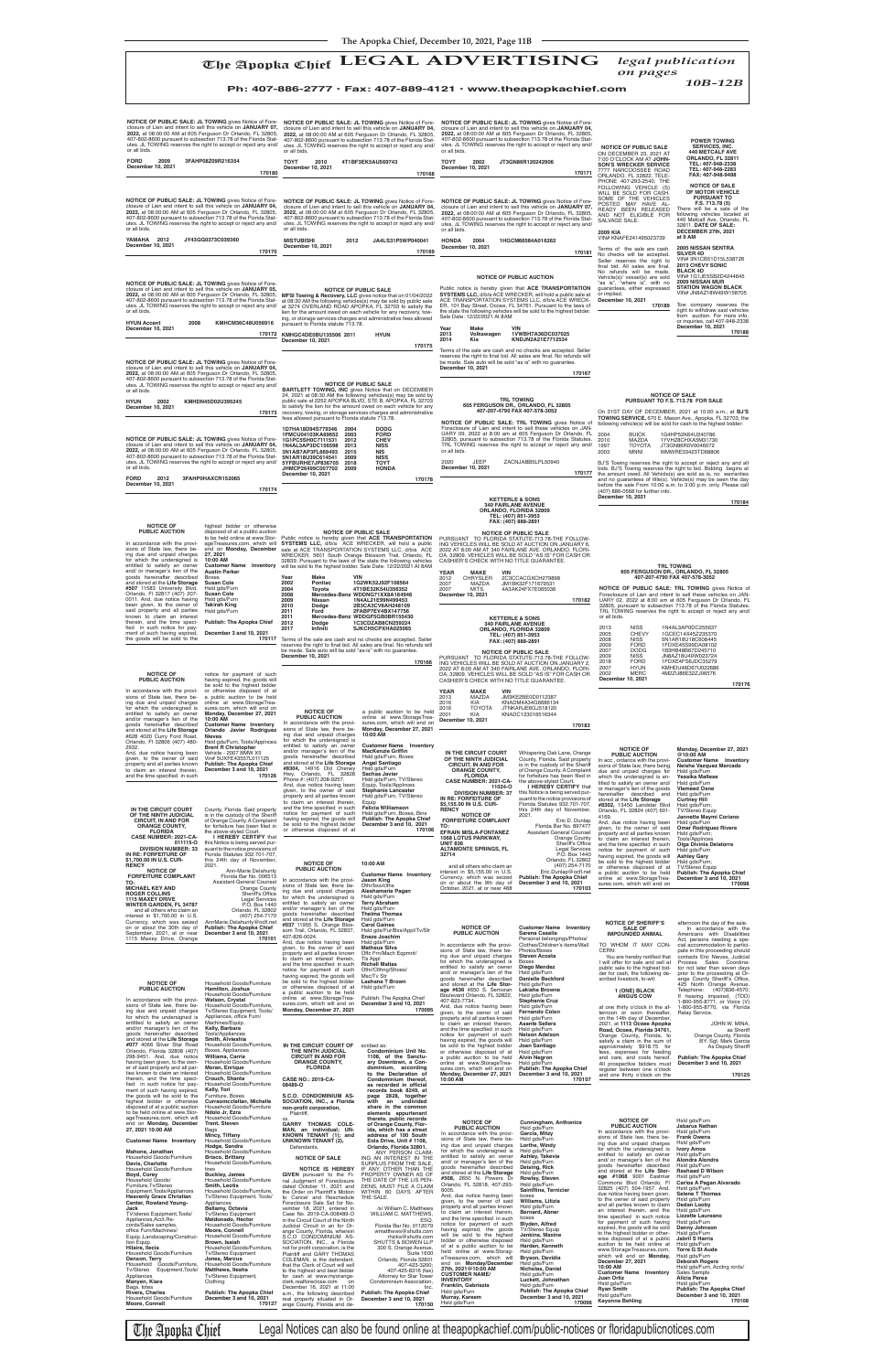## The Apopka Chief **LEGAL ADVERTISING** *legal publication on pages*

*10B-12B* **Ph: 407-886-2777 • Fax: 407-889-4121 • www.theapopkachief.com**

and/or manager's lien of the goods hereinafter described and stored at the **Life Storage**  **Customer Name Inventory MacKenzie Griffin** Hsld gds/Furn, Boxes **Angel Santiago** Hsld gds/Furn **Sachas Javier**

And, due notice having been given, to the owner of said property and all parties known to claim an interest therein, and the time specified in such

**Brent R Christopher<br>Vehicle - 2007 BMW X5<br>Vin# 5UXFE43557L011125<br>Publish: The Apopka Chief<br>December 3 and 10, 2021** 

**NOTICE OF PUBLIC AUCTION** In acc , ordance with the provi-sions of State law, there being due and unpaid charges for which the undersigned is en**Monday, December 27, 2021** 

**Customer Name Inventory**<br>**Neisha Vazquez Mercado**<br>Hsld gds/Furn

**@10:00 AM** 

2932.

The Apopka Chief Legal Notices can also be found online at theapopkachief.com/public-notices or floridapublicnotices.com

| to claim an interest therein,<br>and the time specified in such                                                                                                                                                                                                                                                                                                                                                                                                                                                                                                                                                                                                                                                                                                                                                                                                                                                                       | December 3 and 10, 2021<br>170126                                                                                                                                                                                                                                                                                                                                                                                                                                                                                                                                                                                                                                                                                                                                                                                                                                                         | #8304, 14916 Old Cheney<br>Orlando, FL 32828<br>Hwy,<br>Phone #: (407) 208-9257.                                                                                                                                                                                                                                                                                                                                                                                                                                                                                                                                                                                                                                                                                                                                                                                                                                                                                                                                                                                       | Hsld gds/Furn<br><b>Sachas Javier</b><br>Hsld gds/Furn, TV/Stereo                                                                                                                                                                                                                                                                                                                                                                                                                                                                                                                                                                                                                                                                                                                                                                                                                          | <b>ORANGE COUNTY,</b><br><b>FLORIDA</b>                                                                                                                                                                                                                                                                                                                                                                                                                                                                                                                                                                                                                                                                                                                                                                                                                                                                                                                        | of Orange County. A Complaint<br>for forfeiture has been filed in                                                                                                                                                                                                                                                                                                                                                                                                                                                                                                                                           | SIUIS UI JUALE IAW, LITELE DEILIU<br>due and unpaid charges for<br>which the undersigned is en-                                                                                                                                                                                                                                                                                                                                                                                                                                                                                                                                                                                                                                                                                                                                                                                                                                                             | <b>INCIDITA VALGUCL</b><br>www.com<br>Hsld gds/Furn<br><b>Yessika Maltese</b>                                                                                                                                                                                                                                                                                                                                                                                                                                                                                                                                                                                           |
|---------------------------------------------------------------------------------------------------------------------------------------------------------------------------------------------------------------------------------------------------------------------------------------------------------------------------------------------------------------------------------------------------------------------------------------------------------------------------------------------------------------------------------------------------------------------------------------------------------------------------------------------------------------------------------------------------------------------------------------------------------------------------------------------------------------------------------------------------------------------------------------------------------------------------------------|-------------------------------------------------------------------------------------------------------------------------------------------------------------------------------------------------------------------------------------------------------------------------------------------------------------------------------------------------------------------------------------------------------------------------------------------------------------------------------------------------------------------------------------------------------------------------------------------------------------------------------------------------------------------------------------------------------------------------------------------------------------------------------------------------------------------------------------------------------------------------------------------|------------------------------------------------------------------------------------------------------------------------------------------------------------------------------------------------------------------------------------------------------------------------------------------------------------------------------------------------------------------------------------------------------------------------------------------------------------------------------------------------------------------------------------------------------------------------------------------------------------------------------------------------------------------------------------------------------------------------------------------------------------------------------------------------------------------------------------------------------------------------------------------------------------------------------------------------------------------------------------------------------------------------------------------------------------------------|--------------------------------------------------------------------------------------------------------------------------------------------------------------------------------------------------------------------------------------------------------------------------------------------------------------------------------------------------------------------------------------------------------------------------------------------------------------------------------------------------------------------------------------------------------------------------------------------------------------------------------------------------------------------------------------------------------------------------------------------------------------------------------------------------------------------------------------------------------------------------------------------|----------------------------------------------------------------------------------------------------------------------------------------------------------------------------------------------------------------------------------------------------------------------------------------------------------------------------------------------------------------------------------------------------------------------------------------------------------------------------------------------------------------------------------------------------------------------------------------------------------------------------------------------------------------------------------------------------------------------------------------------------------------------------------------------------------------------------------------------------------------------------------------------------------------------------------------------------------------|-------------------------------------------------------------------------------------------------------------------------------------------------------------------------------------------------------------------------------------------------------------------------------------------------------------------------------------------------------------------------------------------------------------------------------------------------------------------------------------------------------------------------------------------------------------------------------------------------------------|-------------------------------------------------------------------------------------------------------------------------------------------------------------------------------------------------------------------------------------------------------------------------------------------------------------------------------------------------------------------------------------------------------------------------------------------------------------------------------------------------------------------------------------------------------------------------------------------------------------------------------------------------------------------------------------------------------------------------------------------------------------------------------------------------------------------------------------------------------------------------------------------------------------------------------------------------------------|-------------------------------------------------------------------------------------------------------------------------------------------------------------------------------------------------------------------------------------------------------------------------------------------------------------------------------------------------------------------------------------------------------------------------------------------------------------------------------------------------------------------------------------------------------------------------------------------------------------------------------------------------------------------------|
| IN THE CIRCUIT COURT<br>OF THE NINTH JUDICIAL<br><b>CIRCUIT, IN AND FOR</b><br><b>ORANGE COUNTY,</b><br><b>FLORIDA</b><br><b>CASE NUMBER: 2021-CA-</b>                                                                                                                                                                                                                                                                                                                                                                                                                                                                                                                                                                                                                                                                                                                                                                                | County, Florida. Said property<br>is in the custody of the Sheriff<br>of Orange County. A Complaint<br>for forfeiture has been filed in<br>the above-styled Court<br>I HEREBY CERTIFY that                                                                                                                                                                                                                                                                                                                                                                                                                                                                                                                                                                                                                                                                                                | And, due notice having been<br>given, to the owner of said<br>property and all parties known<br>to claim an interest therein,<br>and the time specified in such<br>notice for payment of such<br>having expired, the goods will<br>be sold to the highest bidder<br>or otherwise disposed of at                                                                                                                                                                                                                                                                                                                                                                                                                                                                                                                                                                                                                                                                                                                                                                        | Equip, Tools/Applnces<br><b>Stephanie Lancaster</b><br>Hsld gds/Furn, TV/Stereo<br>Equip<br>Felicia Williamson<br>Hsld gds/Furn, Boxes, Bins<br><b>Publish: The Apopka Chief</b><br>December 3 and 10, 2021<br>170106                                                                                                                                                                                                                                                                                                                                                                                                                                                                                                                                                                                                                                                                      | CASE NUMBER: 2021-CA-<br>11024-0<br><b>DIVISION NUMBER: 37</b><br>IN RE: FORFEITURE OF<br>\$5,155.00 IN U.S. CUR-<br><b>RENCY</b><br><b>NOTICE OF</b><br><b>FORFEITURE COMPLAINT</b><br>TO:<br><b>EFRAIN MISLA-FONTANEZ</b><br><b>1068 LOTUS PARKWAY,</b>                                                                                                                                                                                                                                                                                                                                                                                                                                                                                                                                                                                                                                                                                                      | the above-styled Court.<br>I HEREBY CERTIFY that<br>this Notice is being served pur-<br>suant to the notice provisions of<br>Florida Statutes 932.701-707,<br>this 24th day of November,<br>2021.<br>Eric D. Dunlap<br>Florida Bar No. 897477<br><b>Assistant General Counsel</b><br>Orange County                                                                                                                                                                                                                                                                                                          | titled to satisfy an owner and/<br>or manager's lien of the goods<br>hereinafter described and<br>stored at the Life Storage<br>#8302, 13450 Landstar Blvd<br>Orlando, FL 32824 (407) 601-<br>4169.<br>And, due notice having been<br>given, to the owner of said<br>property and all parties known<br>to claim an interest therein,                                                                                                                                                                                                                                                                                                                                                                                                                                                                                                                                                                                                                        | Hsld gds/Furn<br><b>Vlemeed Osne</b><br>Hsld gds/Furn<br><b>Curtney Hill</b><br>Hsld gds/Furn;<br><b>TV/Stereo Equip</b><br>Jannette Maymi Coriano<br>Hsld ads/Furn<br><b>Omar Rodriguez Rivera</b><br>Hsld gds/Furn;<br><b>Tools/AppInces</b>                                                                                                                                                                                                                                                                                                                                                                                                                          |
| 011115-0<br><b>DIVISION NUMBER: 33</b><br>IN RE: FORFEITURE OF<br>\$1,700.00 IN U.S. CUR-<br><b>RENCY</b><br><b>NOTICE OF</b><br><b>FORFEITURE COMPLAINT</b><br>TO:<br><b>MICHAEL KEY AND</b><br><b>ROGER COLLINS</b><br><b>1115 MAXEY DRIVE</b><br><b>WINTER GARDEN, FL 34787</b><br>and all others who claim an<br>interest in \$1,700.00 in U.S.<br>Currency, which was seized<br>on or about the 30th day of<br>September, 2021, at or near<br>1115 Maxey Drive, Orange                                                                                                                                                                                                                                                                                                                                                                                                                                                           | this Notice is being served pur-<br>suant to the notice provisions of<br>Florida Statutes 932.701-707,<br>this 24th day of November,<br>2021.<br>Ann-Marie Delahunty<br>Florida Bar No. 006513<br><b>Assistant General Counsel</b><br><b>Orange County</b><br>Sheriff's Office<br><b>Legal Services</b><br>P.O. Box 1440<br>Orlando, FL 32802<br>(407) 254-7170<br>AnnMarie.Delahunty@ocfl.net<br><b>Publish: The Apopka Chief</b><br>December 3 and 10, 2021<br>170101                                                                                                                                                                                                                                                                                                                                                                                                                   | <b>NOTICE OF</b><br><b>PUBLIC AUCTION</b><br>In accordance with the provi-<br>sions of State law, there be-<br>ing due and unpaid charges<br>for which the undersigned is<br>entitled to satisfy an owner<br>and/or manager's lien of the<br>goods hereinafter described<br>and stored at the Life Storage<br>#037 11955 S. Orange Blos-<br>som Trail, Orlando, FL 32837,<br>407-826-0024<br>And, due notice having been                                                                                                                                                                                                                                                                                                                                                                                                                                                                                                                                                                                                                                               | 10:00 AM<br><b>Customer Name Inventory</b><br><b>Jason King</b><br>Othr/bxs/clths<br>Aieshamarie Pagan<br>Hsld gds/Furn<br><b>Terry Abraham</b><br>Hsld gds/Furn<br><b>Thelma Thomas</b><br>Hsld gds/Furn<br><b>Carol Gaines</b><br>Hsld gds/Fur/Bxs/Appl/Tv/Str<br>Eneze Joachim<br>Hsld gds/Furn                                                                                                                                                                                                                                                                                                                                                                                                                                                                                                                                                                                         | <b>UNIT 836</b><br><b>ALTAMONTE SPRINGS, FL</b><br>32714<br>and all others who claim an<br>interest in \$5.155.00 in U.S.<br>Currency, which was seized<br>on or about the 9th day of<br>October, 2021, at or near 468<br><b>NOTICE OF</b><br><b>PUBLIC AUCTION</b>                                                                                                                                                                                                                                                                                                                                                                                                                                                                                                                                                                                                                                                                                            | <b>Sheriff's Office</b><br><b>Legal Services</b><br>P.O. Box 1440<br>Orlando, FL 32802<br>(407) 254-7170<br>Eric.Dunlap@ocfl.net<br><b>Publish: The Apopka Chief</b><br>December 3 and 10, 2021<br>170103<br><b>Customer Name Inventory</b><br>Sarena Casella<br>Personal belongings/Photos/                                                                                                                                                                                                                                                                                                                | and the time specified in such<br>notice for payment of such<br>having expired, the goods will<br>be sold to the highest bidder<br>or otherwise disposed of at<br>a public auction to be held<br>online at www.StorageTrea-<br>sures.com, which will end on<br><b>NOTICE OF SHERIFF'S</b><br><b>SALE OF</b><br><b>IMPOUNDED ANIMAL</b>                                                                                                                                                                                                                                                                                                                                                                                                                                                                                                                                                                                                                      | Olga Divinia Delatorre<br>Hsld gds/Furn<br><b>Ashley Gary</b><br>Hsld gds/Furn;<br><b>TV/Stereo Equip</b><br><b>Publish: The Apopka Chief</b><br>December 3 and 10, 2021<br>170098<br>afternoon the day of the sale.<br>In accordance with the<br>Americans with Disabilities<br>Act, persons needing a spe-                                                                                                                                                                                                                                                                                                                                                            |
| <b>NOTICE OF</b><br><b>PUBLIC AUCTION</b><br>In accordance with the provi-<br>sions of State law, there be-<br>ing due and unpaid charges<br>for which the undersigned is<br>entitled to satisfy an owner<br>and/or manager's lien of the<br>goods hereinafter described<br>and stored at the Life Storage<br>#077 4066 Silver Star Road<br>Orlando, Florida 32808 (407)<br>298-9451. And, due notice<br>having been given, to the own-<br>er of said property and all par-<br>ties known to claim an interest<br>therein, and the time speci-<br>fied in such notice for pay-<br>ment of such having expired,                                                                                                                                                                                                                                                                                                                        | Household Goods/Furniture<br>Hamilton, Joshua<br>Household Goods/Furniture<br><b>Watson, Crystal</b><br>Household Goods/Furniture,<br>Tv/Stereo Equipment, Tools/<br>Appliances, office Furn/<br>Machines/Equip.<br>Kelly, Barbara<br><b>Tools/Appliances</b><br>Smith, Alvieshia<br>Household Goods/Furniture,<br>Boxes, Appliances<br><b>Williams, Carrie</b><br>Household Goods/Furniture<br>Moran, Enrique<br>Household Goods/Furniture<br>Crouch, Shanta<br>Household Goods/Furniture<br>Kelly, Tori                                                                                                                                                                                                                                                                                                                                                                                 | given, to the owner of said<br>property and all parties known<br>to claim an interest therein,<br>and the time specified in such<br>notice for payment of such<br>having expired, the goods will<br>be sold to the highest bidder<br>or otherwise disposed of at<br>a public auction to be held<br>online at www.StorageTrea-<br>sures.com, which will end on<br>Monday, December 27, 2021<br>IN THE CIRCUIT COURT OF<br>THE NINTH JUDICIAL<br><b>CIRCUIT IN AND FOR</b><br><b>ORANGE COUNTY,</b><br><b>FLORIDA</b><br><b>CASE NO.: 2019-CA-</b><br>08489-O                                                                                                                                                                                                                                                                                                                                                                                                                                                                                                            | <b>Matheus Silva</b><br>Offc Frn/Mach Eqpmnt/<br>TIs Appl<br><b>Richell Matias</b><br>Othr/Clthng/Shoes/<br>Msc/Tv Str<br>Lashana T Brown<br>Hsld gds/Furn<br>Publish: The Apopka Chief<br>December 3 and 10, 2021<br>170095<br>scribed as:<br>Condominium Unit No.<br>1108, of the Sanctu-<br>ary Downtown, a Con-<br>dominium, according<br>to the Declaration of<br>Condominium thereof,<br>as recorded in official<br>records book 8249, at                                                                                                                                                                                                                                                                                                                                                                                                                                            | In accordance with the provi-<br>sions of State law, there be-<br>ing due and unpaid charges<br>for which the undersigned is<br>entitled to satisfy an owner<br>and/ or manager's lien of the<br>goods hereinafter described<br>and stored at the Life Stor-<br>age #636 4650 S. Semoran<br>Boulevard Orlando, FL 32822,<br>407-823-7734.<br>And, due notice having been<br>given, to the owner of said<br>property and all parties known<br>to claim an interest therein,<br>and the time specified in such<br>notice for payment of such<br>having expired, the goods will<br>be sold to the highest bidder<br>or otherwise disposed of at<br>a public auction to be held<br>online at www.StorageTrea-<br>sures.com, which will end on<br>Monday, December 27, 2021<br>10:00 AM                                                                                                                                                                             | Clothes/Children's items/Wall<br>Photos/Boxes<br><b>Steven Acosta</b><br>Boxes<br>Diego Mendez<br>Hsld gds/Furn<br><b>Danielle Beckford</b><br>Hsld gds/Furn<br><b>Lakisha Browne</b><br>Hsld gds/Furn<br><b>Stephanie Cruz</b><br>Hsld gds/Furn<br><b>Fernando Colon</b><br>Hsld gds/Furn<br><b>Asante Sellers</b><br>Hsld gds/Furn<br>Nelson Adelson<br>Hsld gds/Furn<br>Joan Santiago<br>Hsld gds/Furn<br><b>Alvin Negron</b><br>Hsld gds/Furn<br><b>Publish: The Apopka Chief</b><br>December 3 and 10, 2021<br>170107                                                                                  | TO WHOM IT MAY CON-<br>CERN:<br>You are hereby notified that<br>I will offer for sale and sell at<br>public sale to the highest bid-<br>der for cash, the following de-<br>scribed livestock, to-wit:<br>1 (ONE) BLACK<br><b>ANGUS COW</b><br>at one thirty o'clock in the af-<br>ternoon or soon thereafter.<br>on the 14th day of December,<br>2021, at 1113 Ocoee Apopka<br>Road, Ocoee, Florida 34761,<br>Orange County, Florida, to<br>satisfy a claim in the sum of<br>approximately \$918.75 for<br>fees, expenses for feeding<br>and care, and costs hereof.<br>All prospective bidders must<br>register between one o'clock<br>and one thirty o'clock on the                                                                                                                                                                                                                                                                                       | cial accommodation to partici-<br>pate in this proceeding should<br>contacts Eric Nieves, Judicial<br>Process Sales Coordina-<br>tor not later than seven days<br>prior to the proceeding at Or-<br>ange County Sheriff's Office,<br>425 North Orange Avenue.<br>Telephone: (407)836-4570:<br>If hearing impaired, (TDD)<br>1-800-955-8771, or Voice (V)<br>1-800-955-8770, via Florida<br>Relay Service.<br>JOHN W. MINA,<br>as Sheriff<br>Orange County, Florida<br>BY: Sgt. Mark Garcia<br>As Deputy Sheriff<br><b>Publish: The Apopka Chief</b><br>December 3 and 10, 2021<br>170125                                                                                |
| the goods will be sold to the<br>highest bidder or otherwise<br>disposed of at a public auction<br>to be held online at www.Stor-<br>ageTreasures.com, which will<br>end on Monday, December<br>27, 2021 10:00 AM<br><b>Customer Name Inventory</b><br>Mahone, Jonathan<br>Household Goods/Furniture<br>Davis, Charlotte<br>Household Goods/Furniture<br>Boyd, Corey<br>Household Goods/<br>Furniture, Tv/Stereo<br>Equipment, Tools/Appliances<br><b>Heavenly Grace Christian</b><br>Center, Rowland Young-<br>Jack<br>TV/stereo Equipment, Tools/<br>Appliances, Acct. Re-<br>cords/Sales samples,<br>office Furn/Machines/<br>Equip., Landscaping/Construc-<br>tion Equip.<br>Hilaire, Ilecia<br>Household Goods/Furniture<br>Denson, Terry<br>Household Goods/Furniture,<br>Tv/Stereo<br>Equipment, Tools/<br>Appliances<br>Manyen, Kiara<br>Bags. totes<br><b>Rivers, Charles</b><br>Household Goods/Furniture<br>Moore, Connell | Furniture, Boxes<br>Curraomcclellan, Michelle<br>Household Goods/Furniture<br>Ndolo Jr, Ezra<br>Household Goods/Furniture<br>Trent, Steven<br>Bags<br>Mincy, Tiffany<br>Household Goods/Furniture<br>Hodge, Sandra<br>Household Goods/Furniture<br><b>Brisco, Brittany</b><br>Household Goods/Furniture,<br>tires<br><b>Buckley, James</b><br>Household Goods/Furniture<br><b>Smith, Leotis</b><br>Household Goods/Furniture,<br>Tv/Stereo Equipment, Tools/<br>Appliances<br>Bellamy, Octavia<br>Tv/Stereo Equipment<br>Maldonado, Hector<br>Household Goods/Furniture<br>Moore, Connell<br>Household Goods/Furniture<br>Brown, Isaiah<br>Household Goods/Furniture,<br><b>Tv/Stereo Equipment</b><br>Jones, Marcus<br>Household Goods/Furniture<br><b>Matthews, Itesha</b><br>Tv/Stereo Equipment,<br>Clothing<br><b>Publish: The Apopka Chief</b><br>December 3 and 10, 2021<br>170127 | S.C.O. CONDOMINIUM AS-<br>SOCIATION, INC., a Florida<br>non-profit corporation,<br>Plaintiff,<br>VS.<br><b>GARRY THOMAS COLE-</b><br>MAN, an individual; UN-<br>KNOWN TENANT (1); and<br><b>UNKNOWN TENANT (2),</b><br>Defendants.<br><b>NOTICE OF SALE</b><br>NOTICE IS HEREBY<br>GIVEN pursuant to the Fi-<br>nal Judgment of Foreclosure<br>dated October 11, 2021 and<br>the Order on Plaintiff's Motion<br>to Cancel and Reschedule<br>Foreclosure Sale Set for No-<br>vember 18, 2021, entered in<br>Case No. 2019-CA-008489-O<br>in the Circuit Court of the Ninth<br>Judicial Circuit in an for Or-<br>ange County, Florida, wherein<br>S.C.O CONDOMINIUM AS-<br>SOCIATION, INC., a Florida<br>not for profit corporation, is the<br>Plaintiff and GARY THOMAS<br>COLEMAN, is the defendant,<br>that the Clerk of Court will sell<br>to the highest and best bidder<br>for cash at www.myorange-<br>clerk.realforeclose.com on<br>December 16, 2021 at 11:00<br>a.m., the following described<br>real property situated in Or-<br>ange County, Florida and de- | page 2828, together<br>with<br>an undivided<br>share in the common<br>elements appurtenant<br>thereto, public records<br>of Orange County, Flor-<br>ida, which has a street<br>address of 100 South<br>Eola Drive, Unit # 1108,<br>Orlando, Florida 32801.<br>ANY PERSON CLAIM-<br>ING AN INTEREST IN THE<br>SURPLUS FROM THE SALE,<br>IF ANY, OTHER THAN THE<br>PROPERTY OWNER AS OF<br>THE DATE OF THE LIS PEN-<br>DENS, MUST FILE A CLAIM<br>WITHIN 60 DAYS AFTER<br>THE SALE.<br>/s/ William C. Matthews<br>WILLIAM C. MATTHEWS,<br>ESQ.<br>Florida Bar No. 0112079<br>wmatthews@shutts.com<br>rhicks@shutts.com<br>SHUTTS & BOWEN LLP<br>300 S. Orange Avenue,<br><b>Suite 1600</b><br>Orlando, Florida 32801<br>407-423-3200;<br>407-425-8316 (fax)<br>Attorney for Star Tower<br>Condominium Association,<br>Inc.<br>Publish: The Apopka Chief<br>December 3 and 10, 2021<br>170150 | <b>NOTICE OF</b><br><b>PUBLIC AUCTION</b><br>In accordance with the provi-<br>sions of State law, there be-<br>ing due and unpaid charges<br>for which the undersigned is Hsld gds/Furn<br>entitled to satisfy an owner<br>and/ or manager's lien of the<br>goods hereinafter described<br>and stored at the Life Storage<br>#508, 2650 N. Powers Dr<br>Orlando, FL 32818, 407-293-<br>6005.<br>And, due notice having been<br>given, to the owner of said<br>property and all parties known<br>to claim an interest therein,<br>and the time specified in such<br>notice for payment of such<br>having expired, the goods<br>will be sold to the highest<br>bidder or otherwise disposed<br>of at a public auction to be<br>held online at www.Storag-<br>eTreasures.com, which will<br>end on Monday/December<br>27th, 2021@10:00 AM<br><b>CUSTOMER NAME/</b><br><b>INVENTORY</b><br>Franklin, Gabriezia<br>Hsld gds/Furn<br>Murray, Kareem<br>Hsld gds/Furn | Cunningham, Anthonice<br>Hsld gds/Furn<br>Garcia, Mitzy<br>Hsld gds/Furn<br>Lorthe, Windy<br>Ashley, Takevia<br>Hsld gds/Furn<br>Deising, Rick<br>Hsld ads/Furn<br>Rowley, Steven<br>Hsld gds/Furn<br>Saintflina, Ternicier<br>boxes<br>Williams, Litizia<br>Hsld gds/Furn<br>Bernard, Abner<br>boxes<br>Blyden, Alfred<br><b>TV/Stereo Equip</b><br>Jenkins, Maxine<br>Hsld gds/Furn<br>Harden, Kenneth<br>Hsld gds/Furn<br>Bryson, Davidia<br>Hsid gds/Furn<br>Nicholas, Daniel<br>Hsld gds/Furn<br>Luckett, Johnathan<br>Hsld gds/Furn<br>Publish: The Apopka Chief<br>December 3 and 10, 2021<br>170096 | <b>NOTICE OF</b><br><b>PUBLIC AUCTION</b><br>In accordance with the provi-<br>sions of State law, there be-<br>ing due and unpaid charges<br>for which the undersigned is<br>entitled to satisfy an owner<br>and/ or manager's lien of the<br>goods hereinafter described<br>and stored at the Life Stor-<br>age #1068 9001 Eastmar<br>Commons Blvd Orlando, Fl<br>32825 (407) 504-1957. And,<br>due notice having been given,<br>to the owner of said property<br>and all parties known to claim<br>an interest therein, and the<br>time specified in such notice<br>for payment of such having<br>expired, the goods will be sold<br>to the highest bidder or other-<br>wise disposed of at a public<br>auction to be held online at<br>www.StorageTreasures.com,<br>which will end on Monday,<br>December 27, 2021<br>10:00 AM<br><b>Customer Name Inventory</b><br>Juan Ortiz<br>Hsld gds/Furn<br><b>Ryan Smith</b><br>Hsld gds/Furn<br>Keyonna Behling | Hsld gds/Furn<br>Jabarus Nathan<br>Hsld gds/Furn<br><b>Frank Owens</b><br>Hsld gds/Furn<br><b>Ivory Amos</b><br>Hsld gds/Furn<br>Alondra Alondra<br>Hsld gds/Furn<br><b>Rashaad D Wilson</b><br>Hsld gds/Furn<br>Carlos A Pagan Alvarado<br>Hsld gds/Furn<br><b>Selene T Thomas</b><br>Hsld gds/Furn<br>Dedan Looby<br>Hsld gds/Furn<br>Lizzette Laureano<br>Hsld gds/Furn<br>Danny Johnson<br>Hsld gds/Furn<br>Jabril S Harris<br>Hsld gds/Furn<br><b>Torre G St Aude</b><br>Hsld gds/Furn<br><b>Deborah Rogers</b><br>Hsld gds/Furn, Acctng rcrds/<br>Sales Sampls<br>Alicia Perea<br>Hsld gds/Furn<br>Publish: The Apopka Chief<br>December 3 and 10, 2021<br>170108 |

**NOTICE OF PUBLIC AUCTION** In accordance with the provi-sions of State law, there being due and unpaid charges for which the undersigned is entitled to satisfy an owner a public auction to be held online at www.StorageTrea-sures.com, which will end on **Monday, December 27, 2021 10:00 AM NOTICE OF PUBLIC AUCTION** In accordance with the provisions of State law, there be-ing due and unpaid charges for which the undersigned is entitled to satisfy an owner<br>and/or manager's lien of the<br>goods hereinafter described<br>and stored at the **Life Storage**<br>#628 4020 Curry Ford Road, Orlando, Fl 32806 (407) 480 notice for payment of such having expired, the goods will be sold to the highest bidder or otherwise disposed of at a public auction to be held online at www.StorageTreasures.com, which will end on **Monday, December 27, 2021 10:00 AM Customer Name Inventory Orlando Javier Rodriguez Nieves** Hsld gds/Furn, Tools/Applnces **NOTICE OF PUBLIC AUCTION** In accordance with the provi-sions of State law, there being due and unpaid charges for which the undersigned is entitled to satisfy an owner and/ or manager's lien of the goods hereinafter described and stored at the **Life Storage #507** 11583 University Blvd. Orlando, Fl 32817 (407) 207- 0011. And, due notice having<br>been given, to the owner of<br>said property and all parties known to claim an interest therein, and the time speci-<br>fied in such notice for pay-<br>ment of such having expired,<br>the goods will be sold to the highest bidder or otherwise<br>disposed of at a public auction<br>to be held online at www.Stor-<br>ageTreasures.com, which will<br>end on **Monday, December 27, 2021 10:00 AM Customer Name Inventory Austin Parker** Boxes **Susan Cole** Hsld gds/Furn **Susan Cole** Hsld gds/Furn **Takirah King** Hsld gds/Furn **Publish: The Apopka Chief December 3 and 10, 2021 170117 NOTICE OF PUBLIC SALE: JL TOWING** gives Notice of Foreclosure of Lien and intent to sell this vehicle on **JANUARY 04, 2022,** at 08:00:00 AM at 605 Ferguson Dr Orlando, FL 32805,<br>407-802-8600 pursuant to subsection 713.78 of the Florida Stat-<br>utes. JL TOWING reserves the right to accept or reject any and/ or all bids. **TOYT 2010 4T1BF3EK5AU569743 December 10, 2021 170168** NOTICE OF PUBLIC SALE: JL TOWING gives Notice of Fore-<br>closure of Lien and intent to sell this vehicle on JANUARY 04,<br>2022, at 08:00:00 AM at 605 Ferguson Dr Orlando, FL 32805,<br>407-802-8600 pursuant to subsection 713.78 of or all bids. **MISTUBISHI 2012 JA4LS31P5WP040041 December 10, 2021 170169** NOTICE OF PUBLIC SALE: JL TOWING gives Notice of Fore-<br>closure of Lien and intent to sell this vehicle on JANUARY 04,<br>2022, at 08:00:00 AM at 605 Ferguson Dr Orlando, FL 32805,<br>407-802-8600 pursuant to subsection 713.78 of or all bids. **YAMAHA 2012 JY43GG0373C039360 December 10, 2021 170170 NOTICE OF PUBLIC SALE: JL TOWING** gives Notice of Foreclosure of Lien and intent to sell this vehicle on **JANUARY 04,**<br>2022, at 08:00:00 AM at 605 Ferguson Dr Orlando, FL 32805,<br>407-802-8600 pursuant to subsection 713.78 of the Florida Stat-<br>utes. JL TOWING reserves the right **TOYT 2002 JT3GN86R120242906 December 10, 2021 170171** NOTICE OF PUBLIC SALE: JL TOWING gives Notice of Fore-<br>closure of Lien and intent to sell this vehicle on JANUARY 05,<br>2022, at 08:00:00 AM at 605 Ferguson Dr Orlando, FL 32805,<br>407-802-8600 pursuant to subsection 713.78 of **HYUN Accent 2008 KMHCM36C48U056916 December 10, 2021 170172 KMHGC4DE0BU135506 2011 HYUN NOTICE OF PUBLIC SALE: JL TOWING** gives Notice of Fore-closure of Lien and intent to sell this vehicle on **JANUARY 04, 2022,** at 08:00:00 AM at 605 Ferguson Dr Orlando, FL 32805, 407-802-8600 pursuant to subsection 713.78 of the Florida Stat-utes. JL TOWING reserves the right to accept or reject any and/ or all bids. **HYUN 2002 KMHDN45D02U395245 December 10, 2021 170173** NOTICE OF PUBLIC SALE: JL TOWING gives Notice of Fore-<br>closure of Lien and intent to sell this vehicle on JANUARY 04,<br>2022, at 08:00:00 AM at 605 Ferguson Dr Orlando, FL 32805,<br>407-802-8600 pursuant to subsection 713.78 of utes. JL TOWING reserves the right to accept or reject any and/ or all bids. **FORD 2012 3FAHP0HAXCR152065 December 10, 2021 170174** NOTICE OF PUBLIC SALE<br>at 08:30 AM the following vehicle gives notice that on 01/04/2022<br>at 08:30 AM the following vehicles(s) may be sold by public sale<br>at 3274 OVERLAND ROAD APOPKA, FL 32703 to satisfy the<br>lien for the am ing, or storage services charges and administrative fees allowed pursuant to Florida statute 713.78. **December 10, 2021 170175 TRL TOWING 605 FERGUSON DR., ORLANDO, FL 32805 407-207-4790 FAX 407-578-3052 NOTICE OF PUBLIC SALE: TRL TOWING** gives Notice of Foreclosure of Lien and intent to sell these vehicles on JAN-<br>UARY 02, 2022 at 8:00 am at 605 Ferguson Dr Orlando, FL<br>32805, pursuant to subsection 713.78 of the Florida Statutes.<br>TRL TOWING reserves the right to accept or or all bids. 2013 NISS 1N4AL3AP0DC255637<br>2005 CHEVY 1GCEC14X45Z235370<br>2008 NISS 5N1AR18U18C608445<br>2009 FORD 1FDXE45S99DA08102 2005 CHEVY 1GCEC14X45Z235370 2008 NISS 5N1AR18U18C608445 2009 FORD 1FDXE45S99DA08102<br>2007 DODG 1B3HB48B67D245710<br>2009 NISS JN8AZ18U49W023724 2007 DODG 1B3HB48B67D245710 2009 NISS JN8AZ18U49W023724<br>2018 FORD 1FDXE4FS6JDC3527<br>2007 HYUN KMHDU46D67U02268<br>2002 MERC 4M2ZU86E32ZJ06576 FORD 1FDXE4FS6JDC35279<br>
HYUN KMHDU46D67U02268<br>
MERC 4M2ZU86E32ZJ06576 2007 HYUN KMHDU46D67U022686 2002 MERC 4M2ZU86E32ZJ06576 **December 10, 2021 170176 TRL TOWING 605 FERGUSON DR., ORLANDO, FL 32805 407-207-4790 FAX 407-578-3052 NOTICE OF PUBLIC SALE: TRL TOWING** gives Notice of Foreclosure of Lien and intent to sell these vehicles on JAN-<br>UARY 09, 2022 at 8:00 am at 605 Ferguson Dr Orlando, FL<br>32805, pursuant to subsection 713.78 of the Florida or all bids. 2020 JEEP ZACNJABB5LPL50940 **December 10, 2021 170177 BARTLETT TOWING, INC OF PUBLIC SALE**<br>24, 2021 at 08:30 AM the following vehicles(s) may be sold by<br>public sale at 2252 APOPKA BLVD, STE B, APOPKA, FL 32703<br>public sale at 2252 APOPKA BLVD, STE B, APOPKA, FL 32703 to satisfy the lien for the amount owed on each vehicle for any recovery, towing, or storage services charges and administrative fees allowed pursuant to Florida statute 713.78. **1D7HA18D94S779346 2004 DODG 1FMCU04103KA69652 2003 FORD 1G1PC5SH0C7111531 2012 CHEV 1N4AL3AP3DC156598 2013 NISS 3N1AB7AP3FL669493 2015 NIS 5N1AR18U39C614541 2009 NISS 5YFBURHE7JP836705 2018 TOYT JHMCP26499C007702 2009 HONDA December 10, 2021 170178 NOTICE OF PUBLIC SALE: JL TOWING** gives Notice of Fore-closure of Lien and intent to sell this vehicle on **JANUARY 07, 2022,** at 08:00:00 AM at 605 Ferguson Dr Orlando, FL 32805, 407-802-8600 pursuant to subsection 713.78 of the Florida Stat-utes. JL TOWING reserves the right to accept or reject any and/ or all bids. **FORD 2009 3FAHP08Z09R216354 December 10, 2021 170180 NOTICE OF PUBLIC SALE<br>Public notice is hereby given that <b>ACE TRANSPORTATION**<br>**SYSTEMS LLC,** d/b/a ACE WRECKER, will hold a public<br>sale at ACE TRANSPORTATION SYSTEMS LLC, d/b/a ACE WRECKER, 5601 South Orange Blossom Trail, Orlando, FL 32839. Pursuant to the laws of the state the following vehicles will be sold to the highest bidder. Sale Date: 12/22/2021 At 8AM Year Make VIN<br>2002 Pontiac 1G2 **2002 Pontiac 1G2WK52J92F108564<br>
2004 Toyota 4T1BE32K54U356352<br>
2008 Mercedes-Benz WDDNG71XX8A18494 2004 Toyota 4T1BE32K54U356352 2008 Mercedes-Benz WDDNG71XX8A184946 2009 Nissan 1N4AL21E99N499453 2010 Dodge 2B3CA3CV8AH248109 2011 Ford 2FABP7EV4BX147756 2011 Mercedes-Benz WDDGF5GB0BR155430 2012 Dodge 1C3CDZAB8CN259224 2017 Infi niti SJKCH5CPXHA025065** Terms of the sale are cash and no checks are accepted. Seller reserves the right to final bid. All sales are final. No refunds will be made. Sale auto will be sold "as-is" with no guarantee. **December 10, 2021 170166 NOTICE OF SALE PURSUANT TO F.S. 713.78 FOR SALE**  On 31ST DAY OF DECEMBER, 2021 at 10:00 a.m., at **BJ'S**<br>T**OWING SERVICE,** 670 E. Mason Ave., Apopka, FL 32703, the<br>following vehicle(s) will be sold for cash to the highest bidder: 2004 BUICK 1G4HP52K64U240786 2010 MAZDA 1YVHZ8CHXA5M31730<br>1997 TOYOTA JT3GN86R0V0046072<br>2003 MNNI WMWRE33423TD68806 1997 TOYOTA JT3GN86R0V0046072 2003 MNNI WMWRE33423TD68806 BJ'S Towing reserves the right to accept or reject any and all<br>bids. BJ'S Towing reserves the right to bid. Bidding begins at<br>the amount owed. All Vehicle(s) are sold as is, no warranties<br>and no guarantees of title(s). Veh (407) 886-0568 for further info. **December 10, 2021 170184 POWER TOWING SERVICES, INC. 440 METCALF AVE ORLANDO, FL 32811 TEL: 407-948-2338 TEL: 407-948-2283 FAX: 407-948-9498 NOTICE OF SALE OF MOTOR VEHICLE PURSUANT TO F.S. 713.78 (5)**  There will be a sale of the<br>following vehicles located at<br>440 Metcalf Ave, Orlando, FL<br>32811. **DATE OF SALE:**<br>**DECEMBER 27th, 2021**<br>**at 9 AM 2005 NISSAN SENTRA SILVER 4D** VIN# 3N1CB51D15L538726 **2013 CHEVY SONIC BLACK 4D** VIN# 1G1JE5SB2D4244645 **2009 NISSAN MUR STATION WAGON BLACK** VIN# JN8AZ18W49W158705 Tow company reserves the right to withdraw said vehicles from auction. For more info, or inquiries, call 407-948-2338 **December 10, 2021 170188 NOTICE OF PUBLIC SALE**  ON DECEMBER 23, 2021 AT 7:00 O'CLOCK AM AT **JOHN-SON'S WRECKER SERVICE**<br>7777 NARCOOSSEE ROAD<br>ORLANDO, FL 32822, TELE-<br>PHONE 407-293-2540, THE<br>FOLLOWING VEHICLE (S)<br>WILL BE SOLD FOR CASH. SOME OF THE VEHICLES POSTED MAY HAVE AL-READY BEEN RELEASED AND NOT ELIGIBLE FOR SALVAGE SALE. **2009 KIA** VIN# KNAFE241495023739 Terms of the sale are cash. No checks will be accepted. Seller reserves the right to final bid. All sales are final.<br>No refunds will be made. Vehicle(s)/ vessel(s) are sold "as is", "where is", with no guarantees, either expressed or implied. **December 10, 2021 170189** NOTICE OF PUBLIC SALE: JL TOWING gives Notice of Fore-<br>closure of Lien and intent to sell this vehicle on JANUARY 07,<br>2022, at 08:00:00 AM at 605 Ferguson Dr Orlando, FL 32805,<br>407-802-8600 pursuant to subsection 713.78 of or all bids. **HONDA 2004 1HGCM66584A016262 December 10, 2021 170181 NOTICE OF PUBLIC AUCTION** Public notice is hereby given that **ACE TRANSPORTATION**<br>SYSTEMS LLC, d/b/a ACE WRECKER, will hold a public sale at<br>ACE TRANSPORTATION SYSTEMS LLC, d/b/a ACE WRECK-ER, 101 Bay Street, Ocoee, FL 34761. Pursuant to the laws of the state the following vehicles will be sold to the highest bidder. Sale Date: 12/22/2021 At 8AM Year Make VIN<br>2013 Volkswagen 1VV **2013 Volkswagen 1VWBH7A36DC037025 2014 Kia KNDJN2A21E7712534** Terms of the sale are cash and no checks are accepted. Seller<br>reserves the right to final bid. All sales are final. No refunds will<br>be made. Sale auto will be sold "as is" with no guarantee. **December 10, 2021 170167 KETTERLE & SONS 340 FAIRLANE AVENUE ORLANDO, FLORIDA 32809 TEL: (407) 851-3953 FAX: (407) 888-2891 NOTICE OF PUBLIC SALE<br>PURSUANT TO FLORIDA STATUTE-713.78-THE FOLLOW-<br>ING VEHICLES WILL BE SOLD AT AUCTION ON JANUARY 6,** 2022 AT 8:00 AM AT 340 FAIRLANE AVE. ORLANDO, FLORI-DA, 32809. VEHICLES WILL BE SOLD "AS IS" FOR CASH OR CASHIER'S CHECK WITH NO TITLE GUARANTEE. **YEAR MAKE VIN** 2012 CHRYSLER 2C3CCACGXCH279898<br>2007 MAZDA JM1BK32F171679531<br>2007 MITS. 4A3AK24FX7E065036 2007 MAZDA JM1BK32F171679531 2007 MITS. 4A3AK24FX7E065036 **December 10, 2021 170182 KETTERLE & SONS 340 FAIRLANE AVENUE ORLANDO, FLORIDA 32809 TEL: (407) 851-3953 FAX: (407) 888-2891 NOTICE OF PUBLIC SALE**<br>PURSUANT TO FLORIDA STATUTE-713.78-THE FOLLOW-<br>ING VEHICLES WILL BE SOLD AT AUCTION ON JANUARY 2,<br>2022 AT 8:00 AM AT 340 FAIRLANE AVE. ORLANDO, FLORI-DA, 32809. VEHICLES WILL BE SOLD "AS IS" FOR CASH OR CASHIER'S CHECK WITH NO TITLE GUARANTEE. **YEAR MAKE VIN**<br>2013 MAZDA JM3<br>2016 KIA KN*A* 2013 MAZDA JM3KE2BE0D0112387 2016 KIA KNADM4A34G6686134 2016 TOYOTA JTNKARJE6GJ518120 2001 KIA KNADC123016516344 **December 10, 2021 170183**

> **IN THE CIRCUIT COURT OF THE NINTH JUDICIAL CIRCUIT, IN AND FOR ORANGE COUNTY,**

Whispering Oak Lane, Orange County, Florida. Said property is in the custody of the Sheriff